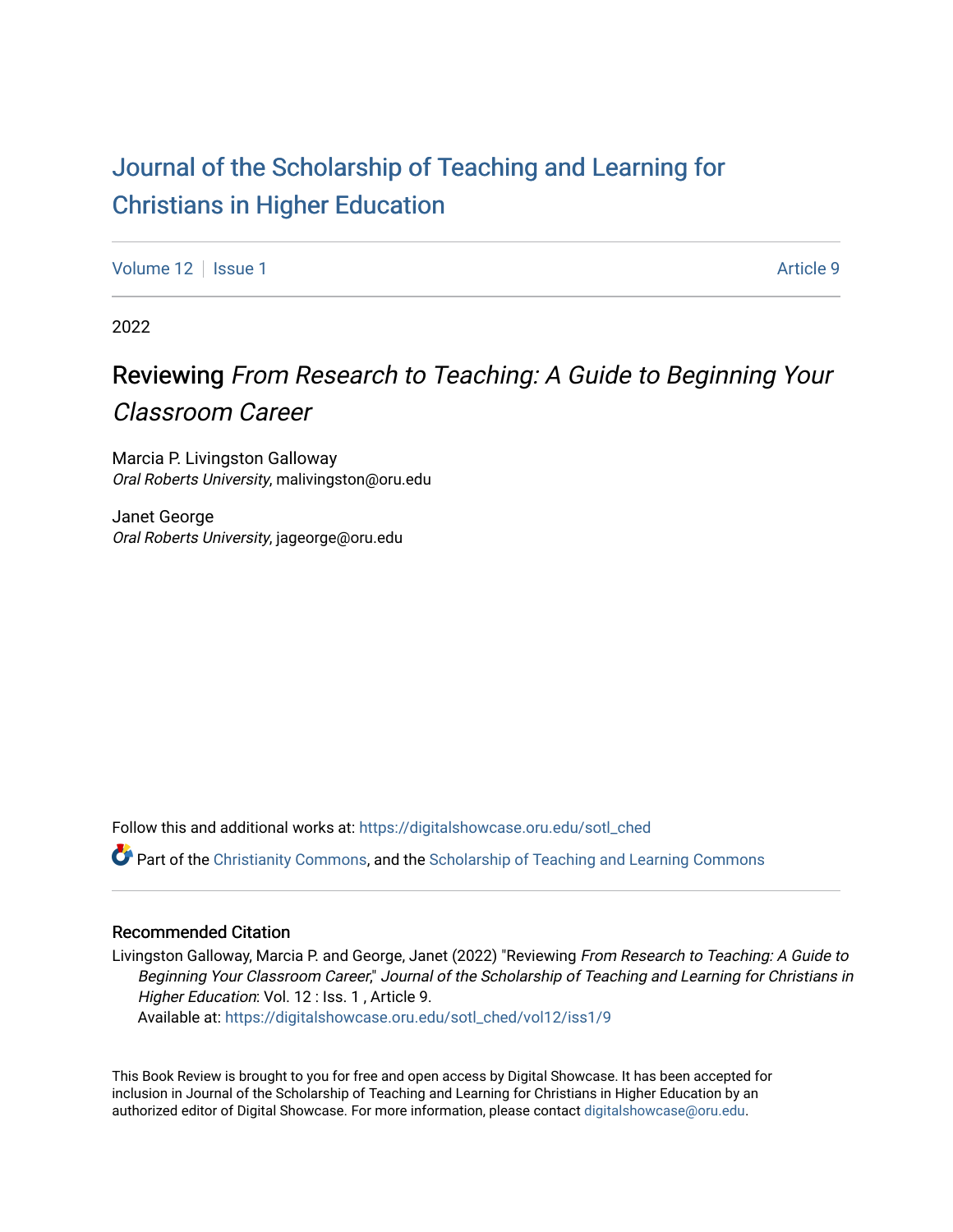# [Journal of the Scholarship of Teaching and Learning for](https://digitalshowcase.oru.edu/sotl_ched)  [Christians in Higher Education](https://digitalshowcase.oru.edu/sotl_ched)

[Volume 12](https://digitalshowcase.oru.edu/sotl_ched/vol12) | [Issue 1](https://digitalshowcase.oru.edu/sotl_ched/vol12/iss1) Article 9

2022

# Reviewing From Research to Teaching: A Guide to Beginning Your Classroom Career

Marcia P. Livingston Galloway Oral Roberts University, malivingston@oru.edu

Janet George Oral Roberts University, jageorge@oru.edu

Follow this and additional works at: [https://digitalshowcase.oru.edu/sotl\\_ched](https://digitalshowcase.oru.edu/sotl_ched?utm_source=digitalshowcase.oru.edu%2Fsotl_ched%2Fvol12%2Fiss1%2F9&utm_medium=PDF&utm_campaign=PDFCoverPages) 

**P** Part of the [Christianity Commons,](https://network.bepress.com/hgg/discipline/1181?utm_source=digitalshowcase.oru.edu%2Fsotl_ched%2Fvol12%2Fiss1%2F9&utm_medium=PDF&utm_campaign=PDFCoverPages) and the Scholarship of Teaching and Learning Commons

#### Recommended Citation

Livingston Galloway, Marcia P. and George, Janet (2022) "Reviewing From Research to Teaching: A Guide to Beginning Your Classroom Career," Journal of the Scholarship of Teaching and Learning for Christians in Higher Education: Vol. 12 : Iss. 1 , Article 9.

Available at: [https://digitalshowcase.oru.edu/sotl\\_ched/vol12/iss1/9](https://digitalshowcase.oru.edu/sotl_ched/vol12/iss1/9?utm_source=digitalshowcase.oru.edu%2Fsotl_ched%2Fvol12%2Fiss1%2F9&utm_medium=PDF&utm_campaign=PDFCoverPages) 

This Book Review is brought to you for free and open access by Digital Showcase. It has been accepted for inclusion in Journal of the Scholarship of Teaching and Learning for Christians in Higher Education by an authorized editor of Digital Showcase. For more information, please contact [digitalshowcase@oru.edu.](mailto:digitalshowcase@oru.edu)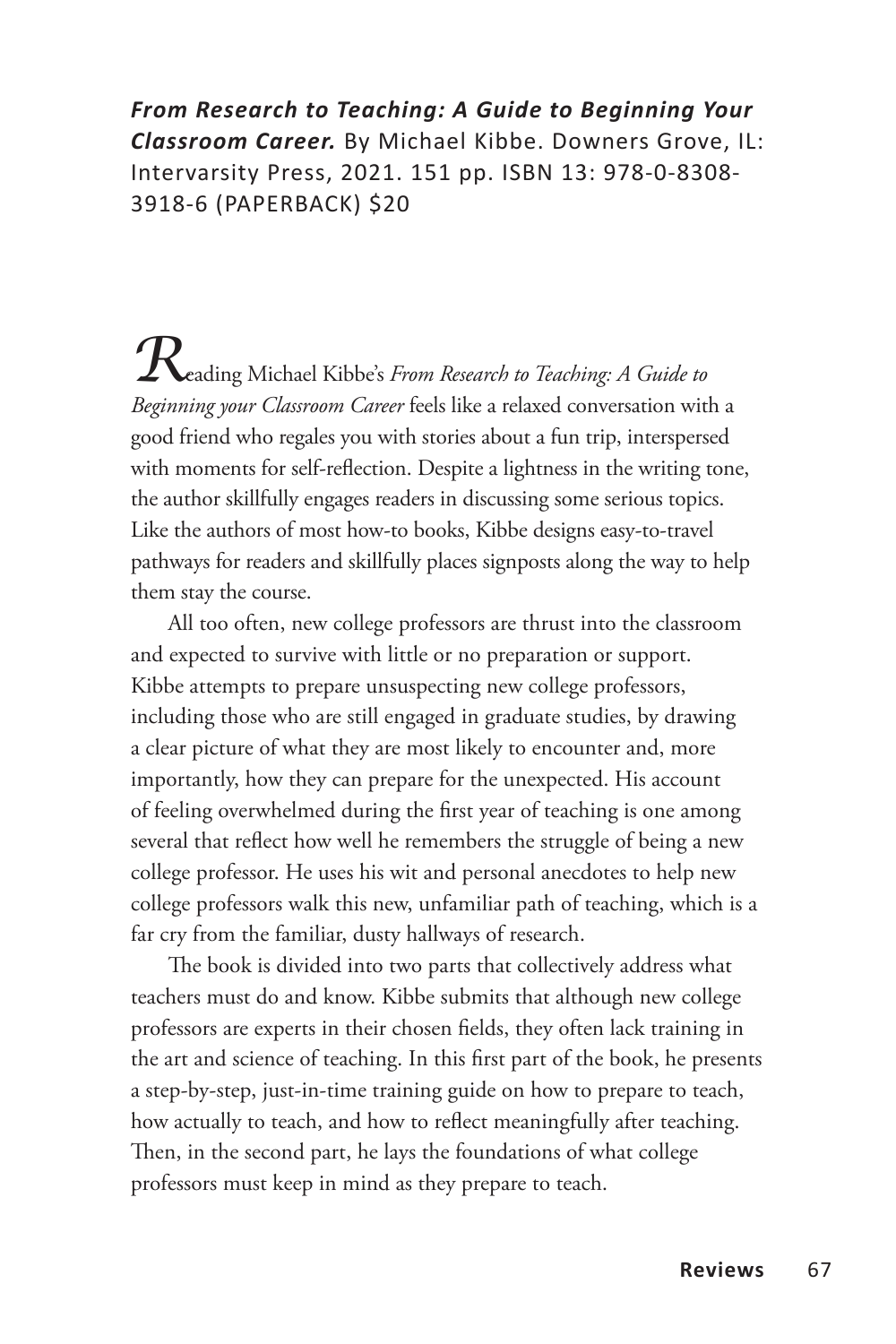*From Research to Teaching: A Guide to Beginning Your Classroom Career.* By Michael Kibbe. Downers Grove, IL: Intervarsity Press, 2021. 151 pp. ISBN 13: 978-0-8308- 3918-6 (PAPERBACK) \$20

*R*eading Michael Kibbe's *From Research to Teaching: A Guide to Beginning your Classroom Career* feels like a relaxed conversation with a good friend who regales you with stories about a fun trip, interspersed with moments for self-reflection. Despite a lightness in the writing tone, the author skillfully engages readers in discussing some serious topics. Like the authors of most how-to books, Kibbe designs easy-to-travel pathways for readers and skillfully places signposts along the way to help them stay the course.

All too often, new college professors are thrust into the classroom and expected to survive with little or no preparation or support. Kibbe attempts to prepare unsuspecting new college professors, including those who are still engaged in graduate studies, by drawing a clear picture of what they are most likely to encounter and, more importantly, how they can prepare for the unexpected. His account of feeling overwhelmed during the first year of teaching is one among several that reflect how well he remembers the struggle of being a new college professor. He uses his wit and personal anecdotes to help new college professors walk this new, unfamiliar path of teaching, which is a far cry from the familiar, dusty hallways of research.

The book is divided into two parts that collectively address what teachers must do and know. Kibbe submits that although new college professors are experts in their chosen fields, they often lack training in the art and science of teaching. In this first part of the book, he presents a step-by-step, just-in-time training guide on how to prepare to teach, how actually to teach, and how to reflect meaningfully after teaching. Then, in the second part, he lays the foundations of what college professors must keep in mind as they prepare to teach.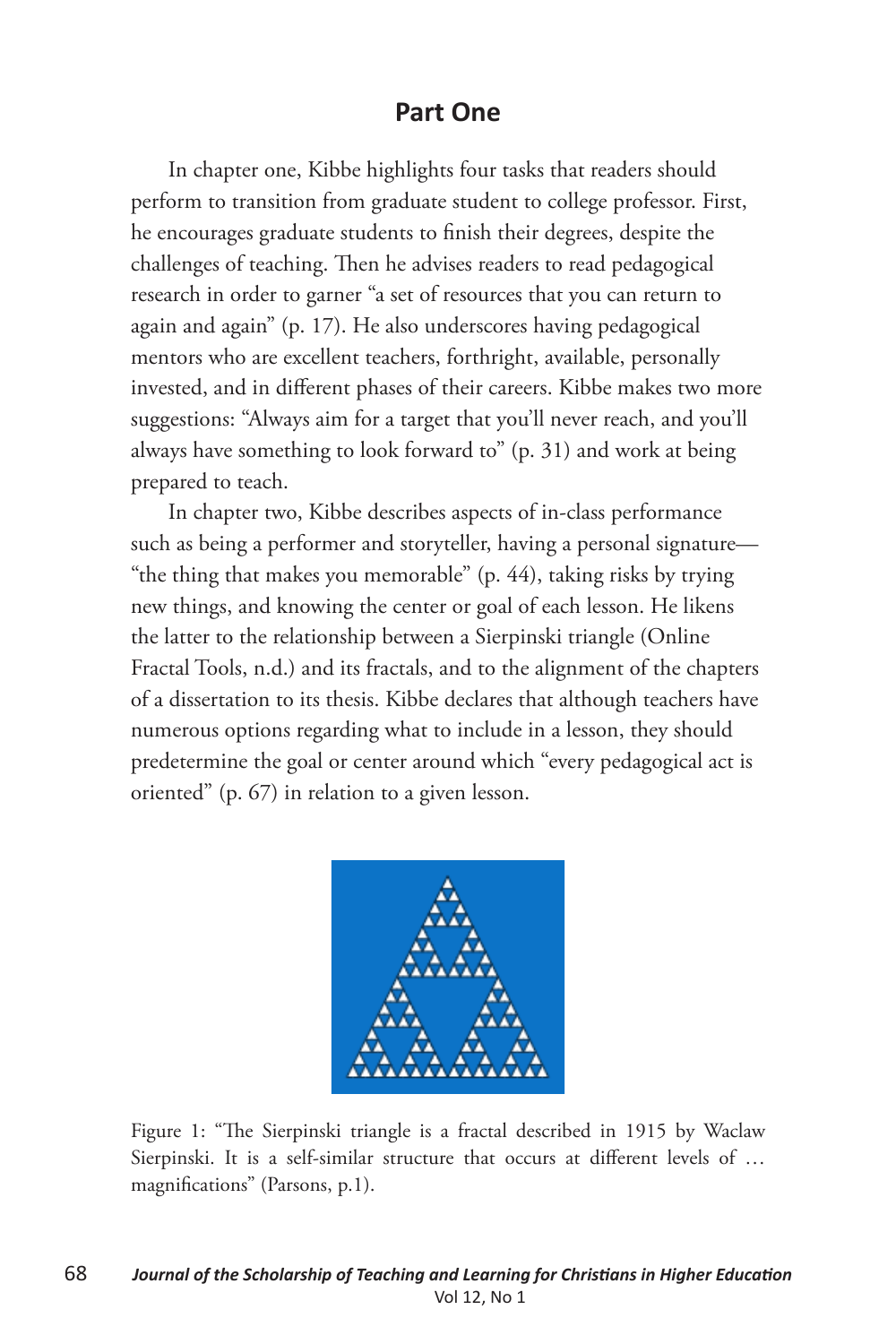## **Part One**

In chapter one, Kibbe highlights four tasks that readers should perform to transition from graduate student to college professor. First, he encourages graduate students to finish their degrees, despite the challenges of teaching. Then he advises readers to read pedagogical research in order to garner "a set of resources that you can return to again and again" (p. 17). He also underscores having pedagogical mentors who are excellent teachers, forthright, available, personally invested, and in different phases of their careers. Kibbe makes two more suggestions: "Always aim for a target that you'll never reach, and you'll always have something to look forward to" (p. 31) and work at being prepared to teach.

In chapter two, Kibbe describes aspects of in-class performance such as being a performer and storyteller, having a personal signature— "the thing that makes you memorable" (p. 44), taking risks by trying new things, and knowing the center or goal of each lesson. He likens the latter to the relationship between a Sierpinski triangle (Online Fractal Tools, n.d.) and its fractals, and to the alignment of the chapters of a dissertation to its thesis. Kibbe declares that although teachers have numerous options regarding what to include in a lesson, they should predetermine the goal or center around which "every pedagogical act is oriented" (p. 67) in relation to a given lesson.



Figure 1: "The Sierpinski triangle is a fractal described in 1915 by Waclaw Sierpinski. It is a self-similar structure that occurs at different levels of … magnifications" (Parsons, p.1).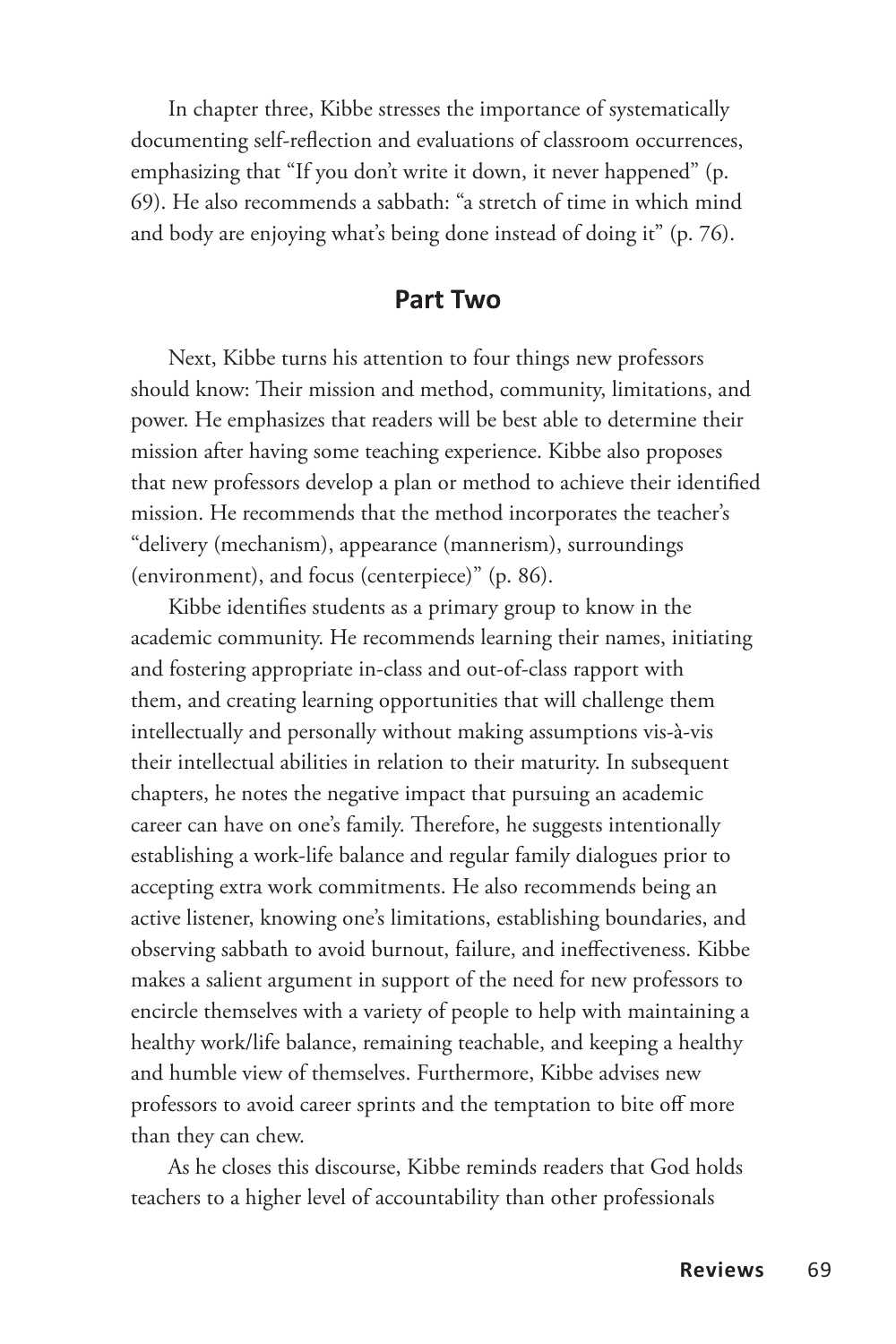In chapter three, Kibbe stresses the importance of systematically documenting self-reflection and evaluations of classroom occurrences, emphasizing that "If you don't write it down, it never happened" (p. 69). He also recommends a sabbath: "a stretch of time in which mind and body are enjoying what's being done instead of doing it" (p. 76).

#### **Part Two**

Next, Kibbe turns his attention to four things new professors should know: Their mission and method, community, limitations, and power. He emphasizes that readers will be best able to determine their mission after having some teaching experience. Kibbe also proposes that new professors develop a plan or method to achieve their identified mission. He recommends that the method incorporates the teacher's "delivery (mechanism), appearance (mannerism), surroundings (environment), and focus (centerpiece)" (p. 86).

Kibbe identifies students as a primary group to know in the academic community. He recommends learning their names, initiating and fostering appropriate in-class and out-of-class rapport with them, and creating learning opportunities that will challenge them intellectually and personally without making assumptions vis-à-vis their intellectual abilities in relation to their maturity. In subsequent chapters, he notes the negative impact that pursuing an academic career can have on one's family. Therefore, he suggests intentionally establishing a work-life balance and regular family dialogues prior to accepting extra work commitments. He also recommends being an active listener, knowing one's limitations, establishing boundaries, and observing sabbath to avoid burnout, failure, and ineffectiveness. Kibbe makes a salient argument in support of the need for new professors to encircle themselves with a variety of people to help with maintaining a healthy work/life balance, remaining teachable, and keeping a healthy and humble view of themselves. Furthermore, Kibbe advises new professors to avoid career sprints and the temptation to bite off more than they can chew.

As he closes this discourse, Kibbe reminds readers that God holds teachers to a higher level of accountability than other professionals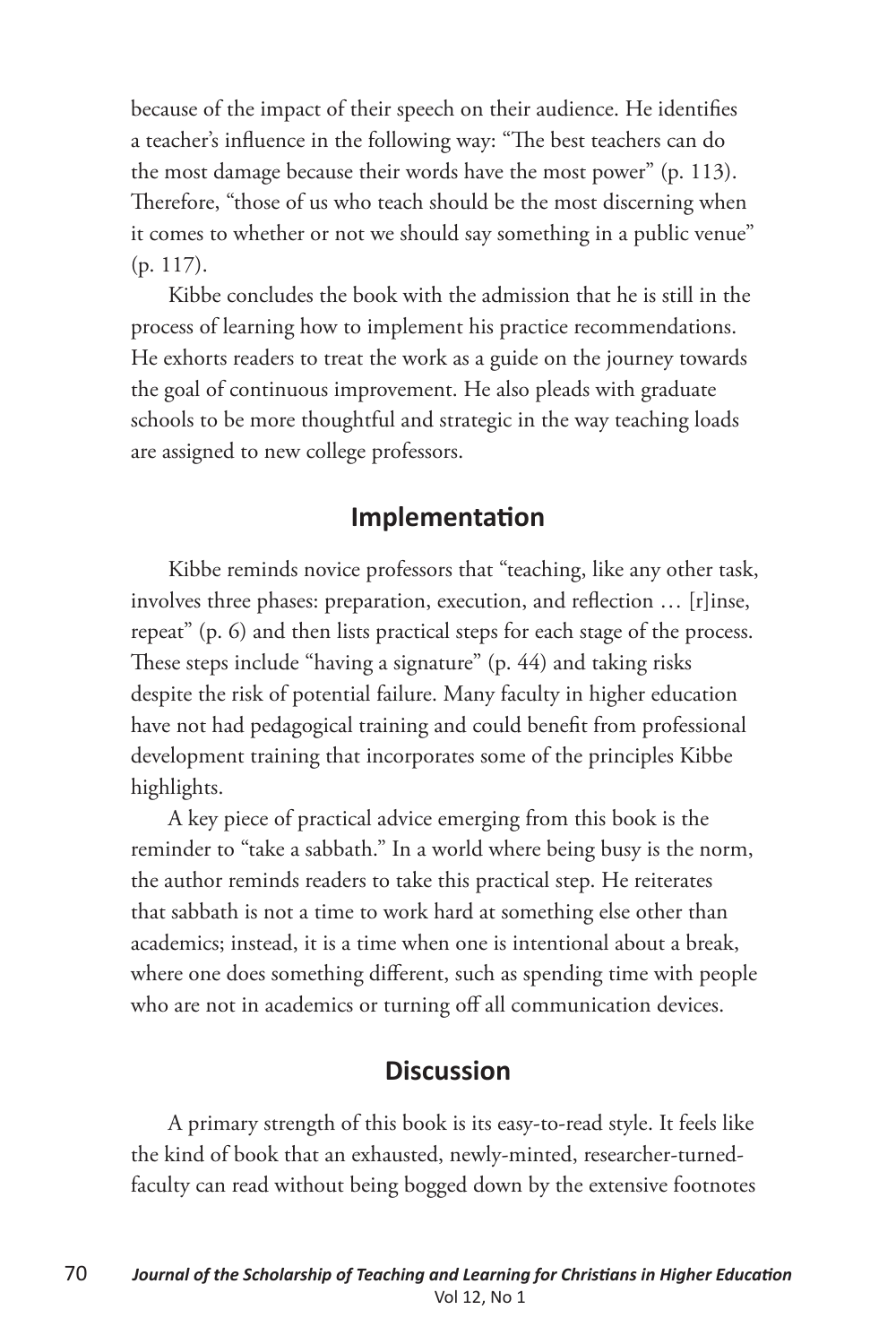because of the impact of their speech on their audience. He identifies a teacher's influence in the following way: "The best teachers can do the most damage because their words have the most power" (p. 113). Therefore, "those of us who teach should be the most discerning when it comes to whether or not we should say something in a public venue" (p. 117).

Kibbe concludes the book with the admission that he is still in the process of learning how to implement his practice recommendations. He exhorts readers to treat the work as a guide on the journey towards the goal of continuous improvement. He also pleads with graduate schools to be more thoughtful and strategic in the way teaching loads are assigned to new college professors.

### **Implementation**

Kibbe reminds novice professors that "teaching, like any other task, involves three phases: preparation, execution, and reflection … [r]inse, repeat" (p. 6) and then lists practical steps for each stage of the process. These steps include "having a signature" (p. 44) and taking risks despite the risk of potential failure. Many faculty in higher education have not had pedagogical training and could benefit from professional development training that incorporates some of the principles Kibbe highlights.

A key piece of practical advice emerging from this book is the reminder to "take a sabbath." In a world where being busy is the norm, the author reminds readers to take this practical step. He reiterates that sabbath is not a time to work hard at something else other than academics; instead, it is a time when one is intentional about a break, where one does something different, such as spending time with people who are not in academics or turning off all communication devices.

## **Discussion**

A primary strength of this book is its easy-to-read style. It feels like the kind of book that an exhausted, newly-minted, researcher-turnedfaculty can read without being bogged down by the extensive footnotes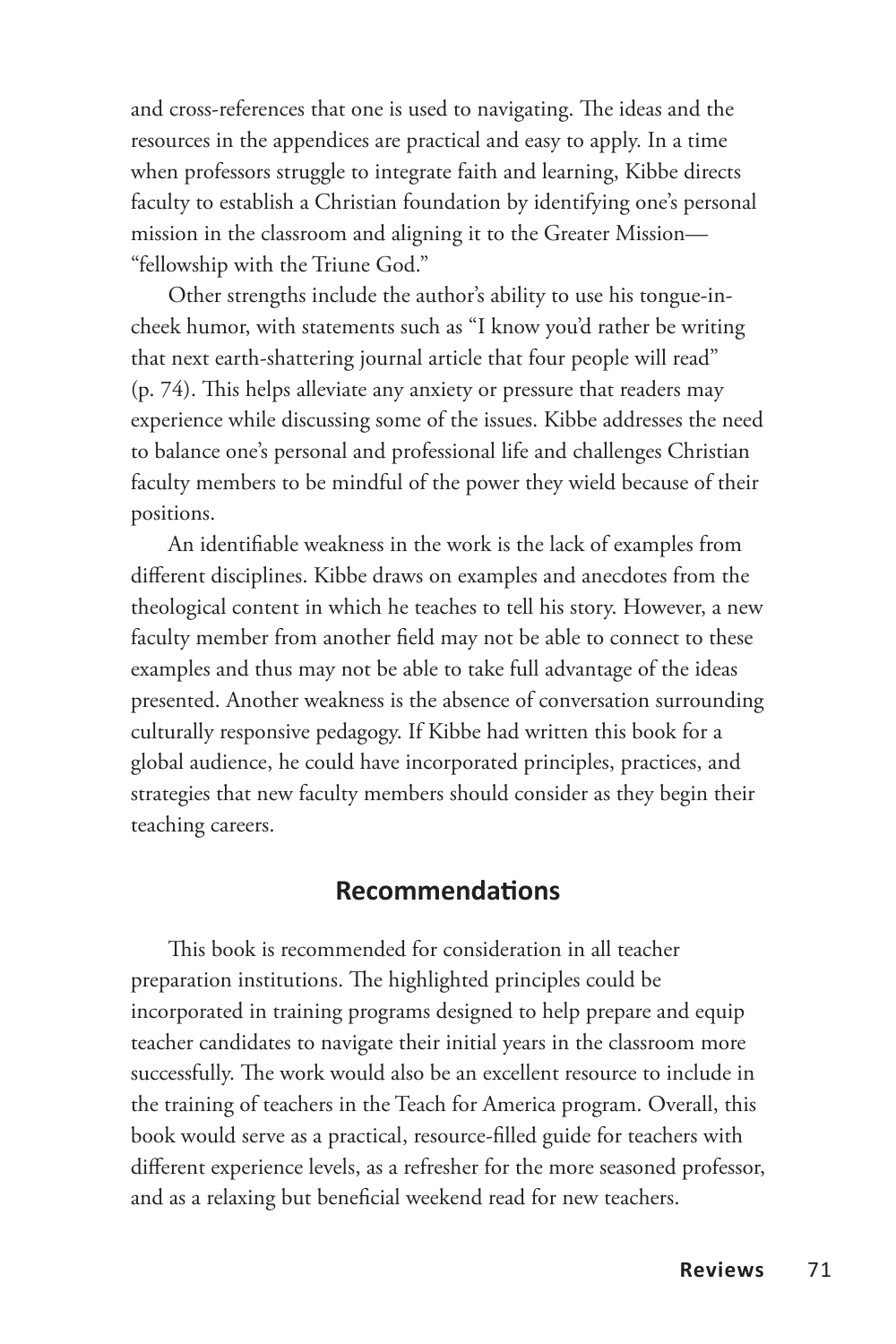and cross-references that one is used to navigating. The ideas and the resources in the appendices are practical and easy to apply. In a time when professors struggle to integrate faith and learning, Kibbe directs faculty to establish a Christian foundation by identifying one's personal mission in the classroom and aligning it to the Greater Mission— "fellowship with the Triune God."

Other strengths include the author's ability to use his tongue-incheek humor, with statements such as "I know you'd rather be writing that next earth-shattering journal article that four people will read" (p. 74). This helps alleviate any anxiety or pressure that readers may experience while discussing some of the issues. Kibbe addresses the need to balance one's personal and professional life and challenges Christian faculty members to be mindful of the power they wield because of their positions.

An identifiable weakness in the work is the lack of examples from different disciplines. Kibbe draws on examples and anecdotes from the theological content in which he teaches to tell his story. However, a new faculty member from another field may not be able to connect to these examples and thus may not be able to take full advantage of the ideas presented. Another weakness is the absence of conversation surrounding culturally responsive pedagogy. If Kibbe had written this book for a global audience, he could have incorporated principles, practices, and strategies that new faculty members should consider as they begin their teaching careers.

### **Recommendations**

This book is recommended for consideration in all teacher preparation institutions. The highlighted principles could be incorporated in training programs designed to help prepare and equip teacher candidates to navigate their initial years in the classroom more successfully. The work would also be an excellent resource to include in the training of teachers in the Teach for America program. Overall, this book would serve as a practical, resource-filled guide for teachers with different experience levels, as a refresher for the more seasoned professor, and as a relaxing but beneficial weekend read for new teachers.